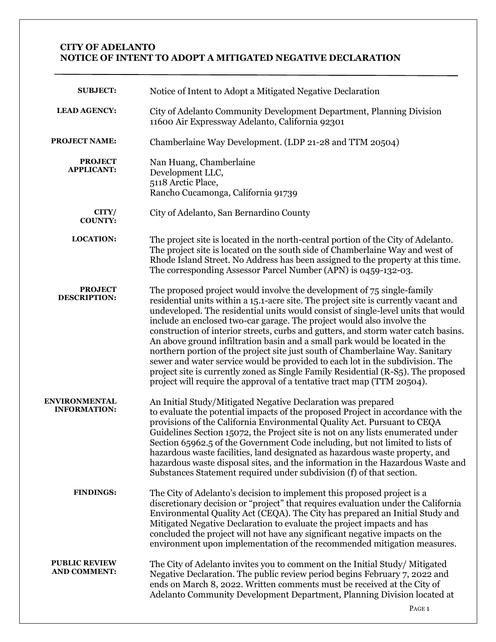## **CITY OF ADELANTO NOTICE OF INTENT TO ADOPT A MITIGATED NEGATIVE DECLARATION**

| <b>SUBJECT:</b>                             | Notice of Intent to Adopt a Mitigated Negative Declaration                                                                                                                                                                                                                                                                                                                                                                                                                                                                                                                                                                                                                                                                                                                                                                          |
|---------------------------------------------|-------------------------------------------------------------------------------------------------------------------------------------------------------------------------------------------------------------------------------------------------------------------------------------------------------------------------------------------------------------------------------------------------------------------------------------------------------------------------------------------------------------------------------------------------------------------------------------------------------------------------------------------------------------------------------------------------------------------------------------------------------------------------------------------------------------------------------------|
| <b>LEAD AGENCY:</b>                         | City of Adelanto Community Development Department, Planning Division<br>11600 Air Expressway Adelanto, California 92301                                                                                                                                                                                                                                                                                                                                                                                                                                                                                                                                                                                                                                                                                                             |
| <b>PROJECT NAME:</b>                        | Chamberlaine Way Development. (LDP 21-28 and TTM 20504)                                                                                                                                                                                                                                                                                                                                                                                                                                                                                                                                                                                                                                                                                                                                                                             |
| <b>PROJECT</b><br><b>APPLICANT:</b>         | Nan Huang, Chamberlaine<br>Development LLC,<br>5118 Arctic Place,<br>Rancho Cucamonga, California 91739                                                                                                                                                                                                                                                                                                                                                                                                                                                                                                                                                                                                                                                                                                                             |
| CITY/<br><b>COUNTY:</b>                     | City of Adelanto, San Bernardino County                                                                                                                                                                                                                                                                                                                                                                                                                                                                                                                                                                                                                                                                                                                                                                                             |
| <b>LOCATION:</b>                            | The project site is located in the north-central portion of the City of Adelanto.<br>The project site is located on the south side of Chamberlaine Way and west of<br>Rhode Island Street. No Address has been assigned to the property at this time.<br>The corresponding Assessor Parcel Number (APN) is 0459-132-03.                                                                                                                                                                                                                                                                                                                                                                                                                                                                                                             |
| <b>PROJECT</b><br><b>DESCRIPTION:</b>       | The proposed project would involve the development of 75 single-family<br>residential units within a 15.1-acre site. The project site is currently vacant and<br>undeveloped. The residential units would consist of single-level units that would<br>include an enclosed two-car garage. The project would also involve the<br>construction of interior streets, curbs and gutters, and storm water catch basins.<br>An above ground infiltration basin and a small park would be located in the<br>northern portion of the project site just south of Chamberlaine Way. Sanitary<br>sewer and water service would be provided to each lot in the subdivision. The<br>project site is currently zoned as Single Family Residential (R-S5). The proposed<br>project will require the approval of a tentative tract map (TTM 20504). |
| <b>ENVIRONMENTAL</b><br><b>INFORMATION:</b> | An Initial Study/Mitigated Negative Declaration was prepared<br>to evaluate the potential impacts of the proposed Project in accordance with the<br>provisions of the California Environmental Quality Act. Pursuant to CEQA<br>Guidelines Section 15072, the Project site is not on any lists enumerated under<br>Section 65962.5 of the Government Code including, but not limited to lists of<br>hazardous waste facilities, land designated as hazardous waste property, and<br>hazardous waste disposal sites, and the information in the Hazardous Waste and<br>Substances Statement required under subdivision (f) of that section.                                                                                                                                                                                          |
| <b>FINDINGS:</b>                            | The City of Adelanto's decision to implement this proposed project is a<br>discretionary decision or "project" that requires evaluation under the California<br>Environmental Quality Act (CEQA). The City has prepared an Initial Study and<br>Mitigated Negative Declaration to evaluate the project impacts and has<br>concluded the project will not have any significant negative impacts on the<br>environment upon implementation of the recommended mitigation measures.                                                                                                                                                                                                                                                                                                                                                    |
| <b>PUBLIC REVIEW</b><br><b>AND COMMENT:</b> | The City of Adelanto invites you to comment on the Initial Study/Mitigated<br>Negative Declaration. The public review period begins February 7, 2022 and<br>ends on March 8, 2022. Written comments must be received at the City of<br>Adelanto Community Development Department, Planning Division located at<br>PAGE 1                                                                                                                                                                                                                                                                                                                                                                                                                                                                                                            |